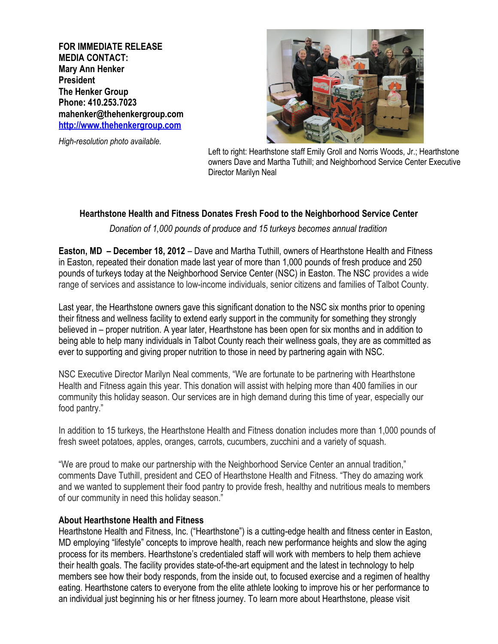**FOR IMMEDIATE RELEASE MEDIA CONTACT: Mary Ann Henker President The Henker Group Phone: 410.253.7023 [mahenker@thehenkergroup.com](mailto:elavi@alexorthopedic.com) [http://www.thehenkergroup.com](http://www.thehenkergroup.com/)**



*High-resolution photo available.*

Left to right: Hearthstone staff Emily Groll and Norris Woods, Jr.; Hearthstone owners Dave and Martha Tuthill; and Neighborhood Service Center Executive Director Marilyn Neal

## **Hearthstone Health and Fitness Donates Fresh Food to the Neighborhood Service Center**

*Donation of 1,000 pounds of produce and 15 turkeys becomes annual tradition*

**Easton, MD – December 18, 2012** – Dave and Martha Tuthill, owners of Hearthstone Health and Fitness in Easton, repeated their donation made last year of more than 1,000 pounds of fresh produce and 250 pounds of turkeys today at the Neighborhood Service Center (NSC) in Easton. The NSC provides a wide range of services and assistance to low-income individuals, senior citizens and families of Talbot County.

Last year, the Hearthstone owners gave this significant donation to the NSC six months prior to opening their fitness and wellness facility to extend early support in the community for something they strongly believed in – proper nutrition. A year later, Hearthstone has been open for six months and in addition to being able to help many individuals in Talbot County reach their wellness goals, they are as committed as ever to supporting and giving proper nutrition to those in need by partnering again with NSC.

NSC Executive Director Marilyn Neal comments, "We are fortunate to be partnering with Hearthstone Health and Fitness again this year. This donation will assist with helping more than 400 families in our community this holiday season. Our services are in high demand during this time of year, especially our food pantry."

In addition to 15 turkeys, the Hearthstone Health and Fitness donation includes more than 1,000 pounds of fresh sweet potatoes, apples, oranges, carrots, cucumbers, zucchini and a variety of squash.

"We are proud to make our partnership with the Neighborhood Service Center an annual tradition," comments Dave Tuthill, president and CEO of Hearthstone Health and Fitness. "They do amazing work and we wanted to supplement their food pantry to provide fresh, healthy and nutritious meals to members of our community in need this holiday season."

## **About Hearthstone Health and Fitness**

Hearthstone Health and Fitness, Inc. ("Hearthstone") is a cutting-edge health and fitness center in Easton, MD employing "lifestyle" concepts to improve health, reach new performance heights and slow the aging process for its members. Hearthstone's credentialed staff will work with members to help them achieve their health goals. The facility provides state-of-the-art equipment and the latest in technology to help members see how their body responds, from the inside out, to focused exercise and a regimen of healthy eating. Hearthstone caters to everyone from the elite athlete looking to improve his or her performance to an individual just beginning his or her fitness journey. To learn more about Hearthstone, please visit